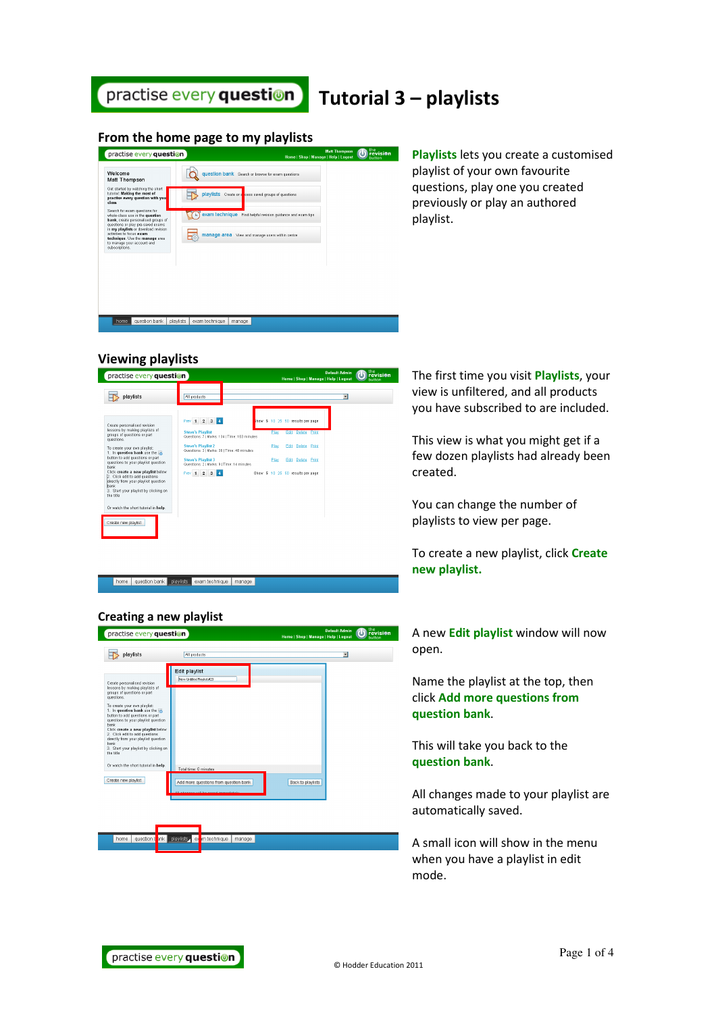

# Tutorial 3 – playlists

## From the home page to my playlists

| practise every question                                                                                                                      |                             |                                                             | Home   Shop   Manage   Help   Logout | <b>Matt Thompson</b> | <b>b</b> revisio |
|----------------------------------------------------------------------------------------------------------------------------------------------|-----------------------------|-------------------------------------------------------------|--------------------------------------|----------------------|------------------|
| Welcome<br>Matt Thompson                                                                                                                     |                             | question bank Search or browse for exam questions           |                                      |                      |                  |
| Get started by watching the short<br>tutorial: Making the most of<br>practise every question with you<br>class.                              | playlists                   | Create or an cess saved groups of questions                 |                                      |                      |                  |
| Search for exam questions for<br>whole-class use in the question<br>bank, create personalised groups of<br>questions or play pre-saved exams |                             | exam technique Find helpful revision guidance and exam tips |                                      |                      |                  |
| in my playlists or download revision<br>activities to focus exam<br>technique. Use the manage area<br>to manage your account and             | E.                          | manage area View and manage users within centre             |                                      |                      |                  |
| subscriptions.                                                                                                                               |                             |                                                             |                                      |                      |                  |
|                                                                                                                                              |                             |                                                             |                                      |                      |                  |
|                                                                                                                                              |                             |                                                             |                                      |                      |                  |
|                                                                                                                                              |                             |                                                             |                                      |                      |                  |
| question bank<br>home                                                                                                                        | playlists<br>exam technique | manage                                                      |                                      |                      |                  |

Playlists lets you create a customised playlist of your own favourite questions, play one you created previously or play an authored playlist.

# Viewing playlists



home question bank playlists exam technique manage

### Creating a new playlist



The first time you visit **Playlists**, your view is unfiltered, and all products you have subscribed to are included.

This view is what you might get if a few dozen playlists had already been created.

You can change the number of playlists to view per page.

To create a new playlist, click Create new playlist.

A new Edit playlist window will now open.

Name the playlist at the top, then click Add more questions from question bank.

This will take you back to the question bank.

All changes made to your playlist are automatically saved.

A small icon will show in the menu when you have a playlist in edit mode.

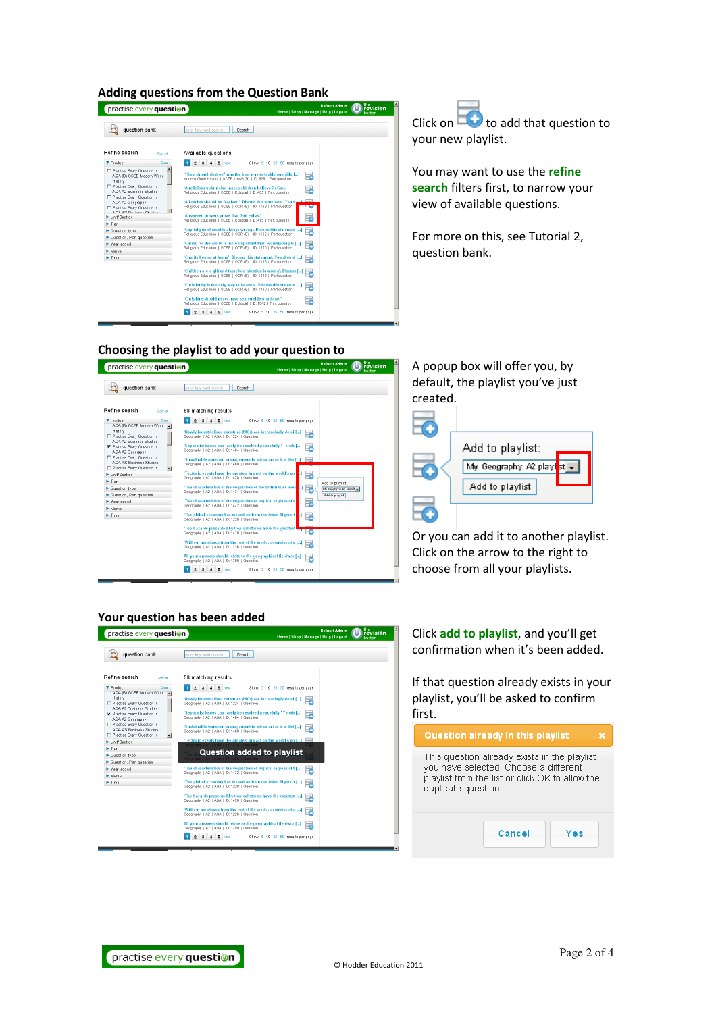#### Adding questions from the Question Bank

| practise every question                                                                            | the<br><b>Default Admin</b><br><b>revision</b><br>Home   Shop   Manage   Help   Logout<br>hutton                                          |
|----------------------------------------------------------------------------------------------------|-------------------------------------------------------------------------------------------------------------------------------------------|
| question bank                                                                                      | enter key word search<br>Search                                                                                                           |
| Refine search<br>Clear all                                                                         | Available questions                                                                                                                       |
| ▼ Product<br>Clear                                                                                 | 5 Next<br>$\overline{2}$<br>$\ddot{\mathbf{3}}$<br>Show 5 10 25 50 results per page                                                       |
| □ Practise Every Question in<br>AQA (B) GCSE Modern World<br>History<br>Practise Every Question in | "Search and destroy" was the best way to tackle querrilla []<br>₹<br>Modern World History   GCSE   AQA (B)   ID: 928   Part question      |
| AGA A2 Business Studies<br>F Practise Every Question in                                            | 'A religious upbringing makes children believe in God.'<br>œ<br>Religious Education   GCSE   Edexcel   ID: 485   Part question            |
| AQA A2 Geography<br>Practise Every Question in<br>۰<br>AOA AS Rueingee Studige                     | 'All racists should be forgiven'. Discuss this statement. You s [11]<br>Religious Education   GCSE   OCR (B)   ID: 1139   Part question   |
| Unit/Section                                                                                       | 'Answered prayers prove that God exists.'<br>Religious Education   GCSE   Edexcel   ID: 475   Part question                               |
| $\blacktriangleright$ Tier                                                                         |                                                                                                                                           |
| Cuestion type                                                                                      | 'Capital punishment is always wrong'. Discuss this statemen []<br>c<br>Religious Education   GCSE   OCR (B)   ID: 1132   Part question    |
| ▶ Question, Part question                                                                          |                                                                                                                                           |
| Year added                                                                                         | 'Caring for the world is more important than worshipping G []<br>Ŧ<br>Religious Education   GCSE   OCR (B)   ID: 1320   Part question     |
| $\blacktriangleright$ Marks                                                                        |                                                                                                                                           |
| $\blacktriangleright$ Time                                                                         | 'Charity begins at home'. Discuss this statement. You should []<br>ē<br>Religious Education   GCSE   OCR (B)   ID: 1103   Part question   |
|                                                                                                    | 'Children are a gift and therefore abortion is wrong'. Discuss []<br>Ŧ<br>Religious Education   GCSE   OCR (B)   ID: 1046   Part question |
|                                                                                                    | 'Christianity is the only way to heaven'. Discuss this stateme []<br>æ<br>Religious Education   GCSE   OCR (B)   ID: 1430   Part question |
|                                                                                                    | 'Christians should never have sex outside marriage.'<br>至<br>Religious Education   OCSE   Edexcel   ID: 1842   Part question              |
|                                                                                                    | 5 Next<br>$\overline{a}$<br>Show 5 10 25 50 results per page                                                                              |

Click on  $\Box$  to add that question to your new playlist.

You may want to use the refine search filters first, to narrow your view of available questions.

For more on this, see Tutorial 2, question bank.

#### Choosing the playlist to add your question to



A popup box will offer you, by default, the playlist you've just created.



Or you can add it to another playlist. Click on the arrow to the right to choose from all your playlists.

#### Your question has been added

| question bank<br>enter kev word search<br>Search                                      |                                                                                                                    |  |  |  |  |
|---------------------------------------------------------------------------------------|--------------------------------------------------------------------------------------------------------------------|--|--|--|--|
| Refine search<br>Clear all                                                            | 58 matching results                                                                                                |  |  |  |  |
| <b>V</b> Product<br>Clear<br>AQA (B) GCSE Modern World<br><b>A</b><br>History         | 5 Next<br>$\overline{2}$<br>$\mathbf{3}$<br>4<br>Show 5 10 25 50 results per page                                  |  |  |  |  |
| F Practise Every Question in<br>AGA A2 Business Studies                               | 'Newly industrialised countries (NICs) are increasingly domi []<br>Geography   A2   AQA   ID: 1224   Question      |  |  |  |  |
| <b>▶</b> Practise Every Question in<br>AQA A2 Geography                               | 'Separatist issues can rarely be resolved peacefully.' To wh []<br>≂<br>Geography   A2   AQA   ID: 1464   Question |  |  |  |  |
| Practise Every Question in<br>AGA AS Business Studies<br>F Practise Every Question in | 'Sustainable transport management in urban areas is a dist []<br>Geography   A2   AQA   ID: 1460   Question        |  |  |  |  |
| $\overline{\phantom{a}}$<br>Unit/Section                                              | 'Tectonic events have the greatest impact on the world's po []                                                     |  |  |  |  |
| $\blacktriangleright$ Tier                                                            | Geography   A2   AQA   ID: 1478   Questio                                                                          |  |  |  |  |
| <b>Question type</b>                                                                  | <b>Question added to playlist</b>                                                                                  |  |  |  |  |
| ▶ Question, Part question                                                             | Bengraphy   A2   AOA   ID: 1474   Oriestic                                                                         |  |  |  |  |
| Year added                                                                            | 'The characteristics of the vegetation of tropical regions of t []                                                 |  |  |  |  |
| Marks                                                                                 | Geography   A2   AQA   ID: 1472   Question                                                                         |  |  |  |  |
| $\blacktriangleright$ Time                                                            | 'The global economy has moved on from the Asian Tigers: t []<br>F<br>Geography   A2   AQA   ID: 1228   Question    |  |  |  |  |
|                                                                                       | 'The hazards presented by tropical storms have the greatest []<br>Geography   A2   AQA   ID: 1470   Question       |  |  |  |  |
|                                                                                       | 'Without assistance from the rest of the world, countries at v []<br>Geography   A2   AQA   ID: 1226   Question    |  |  |  |  |
|                                                                                       | All your answers should relate to the geographical fieldwor []<br>₹<br>Geography   A2   AQA   ID: 1799   Question  |  |  |  |  |

Click add to playlist, and you'll get confirmation when it's been added.

If that question already exists in your playlist, you'll be asked to confirm first.

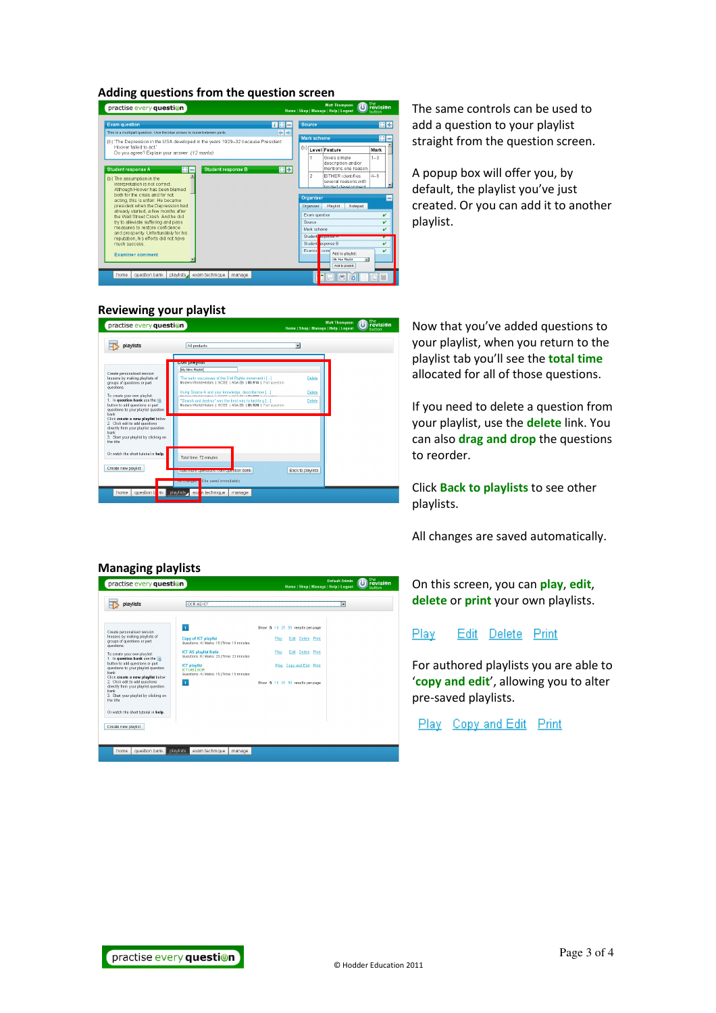#### Adding questions from the question screen



The same controls can be used to add a question to your playlist straight from the question screen.

A popup box will offer you, by default, the playlist you've just created. Or you can add it to another playlist.

## Reviewing your playlist



Now that you've added questions to your playlist, when you return to the playlist tab you'll see the total time allocated for all of those questions.

If you need to delete a question from your playlist, use the delete link. You can also drag and drop the questions to reorder.

Click Back to playlists to see other playlists.

All changes are saved automatically.

On this screen, you can play, edit, delete or print your own playlists.

Edit Delete Print Play

For authored playlists you are able to 'copy and edit', allowing you to alter pre-saved playlists.

Play Copy and Edit Print

## Managing playlists